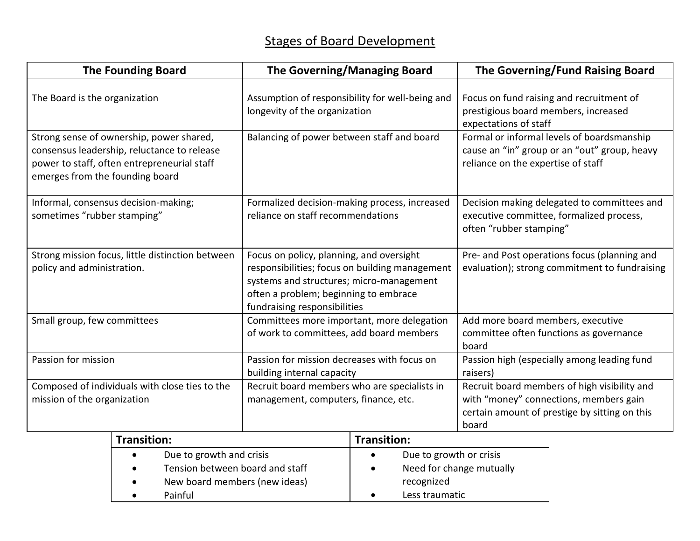| <b>The Founding Board</b>                                                      |                                                                                                                                        | <b>The Governing/Managing Board</b>                                                                                                                                                                             |                          | The Governing/Fund Raising Board                                                                                                                 |  |
|--------------------------------------------------------------------------------|----------------------------------------------------------------------------------------------------------------------------------------|-----------------------------------------------------------------------------------------------------------------------------------------------------------------------------------------------------------------|--------------------------|--------------------------------------------------------------------------------------------------------------------------------------------------|--|
| The Board is the organization                                                  |                                                                                                                                        | Assumption of responsibility for well-being and<br>longevity of the organization                                                                                                                                |                          | Focus on fund raising and recruitment of<br>prestigious board members, increased<br>expectations of staff                                        |  |
| emerges from the founding board                                                | Strong sense of ownership, power shared,<br>consensus leadership, reluctance to release<br>power to staff, often entrepreneurial staff | Balancing of power between staff and board                                                                                                                                                                      |                          | Formal or informal levels of boardsmanship<br>cause an "in" group or an "out" group, heavy<br>reliance on the expertise of staff                 |  |
| Informal, consensus decision-making;<br>sometimes "rubber stamping"            |                                                                                                                                        | Formalized decision-making process, increased<br>reliance on staff recommendations                                                                                                                              |                          | Decision making delegated to committees and<br>executive committee, formalized process,<br>often "rubber stamping"                               |  |
| Strong mission focus, little distinction between<br>policy and administration. |                                                                                                                                        | Focus on policy, planning, and oversight<br>responsibilities; focus on building management<br>systems and structures; micro-management<br>often a problem; beginning to embrace<br>fundraising responsibilities |                          | Pre- and Post operations focus (planning and<br>evaluation); strong commitment to fundraising                                                    |  |
| Small group, few committees                                                    |                                                                                                                                        | Committees more important, more delegation<br>of work to committees, add board members                                                                                                                          |                          | Add more board members, executive<br>committee often functions as governance<br>board                                                            |  |
| Passion for mission                                                            |                                                                                                                                        | Passion for mission decreases with focus on<br>building internal capacity                                                                                                                                       |                          | Passion high (especially among leading fund<br>raisers)                                                                                          |  |
| Composed of individuals with close ties to the<br>mission of the organization  |                                                                                                                                        | Recruit board members who are specialists in<br>management, computers, finance, etc.                                                                                                                            |                          | Recruit board members of high visibility and<br>with "money" connections, members gain<br>certain amount of prestige by sitting on this<br>board |  |
|                                                                                | <b>Transition:</b>                                                                                                                     |                                                                                                                                                                                                                 | <b>Transition:</b>       |                                                                                                                                                  |  |
|                                                                                | Due to growth and crisis                                                                                                               |                                                                                                                                                                                                                 | Due to growth or crisis  |                                                                                                                                                  |  |
|                                                                                | Tension between board and staff                                                                                                        |                                                                                                                                                                                                                 | Need for change mutually |                                                                                                                                                  |  |

recognized Less traumatic

New board members (new ideas)

• Painful